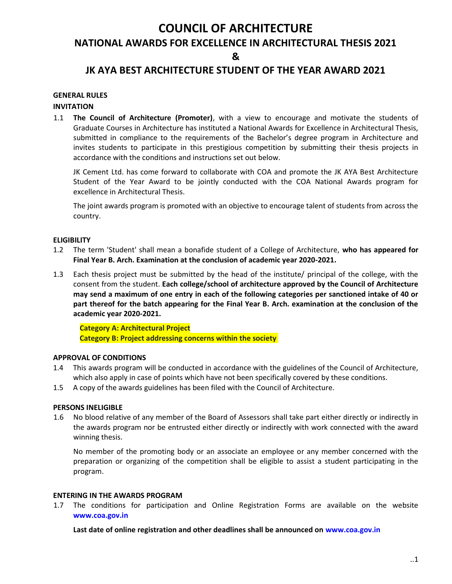# COUNCIL OF ARCHITECTURE

## NATIONAL AWARDS FOR EXCELLENCE IN ARCHITECTURAL THESIS 2021

&

## JK AYA BEST ARCHITECTURE STUDENT OF THE YEAR AWARD 2021

### GENERAL RULES

#### INVITATION

1.1 The Council of Architecture (Promoter), with a view to encourage and motivate the students of Graduate Courses in Architecture has instituted a National Awards for Excellence in Architectural Thesis, submitted in compliance to the requirements of the Bachelor's degree program in Architecture and invites students to participate in this prestigious competition by submitting their thesis projects in accordance with the conditions and instructions set out below.

JK Cement Ltd. has come forward to collaborate with COA and promote the JK AYA Best Architecture Student of the Year Award to be jointly conducted with the COA National Awards program for excellence in Architectural Thesis.

The joint awards program is promoted with an objective to encourage talent of students from across the country.

#### **ELIGIBILITY**

- 1.2 The term 'Student' shall mean a bonafide student of a College of Architecture, who has appeared for Final Year B. Arch. Examination at the conclusion of academic year 2020-2021.
- 1.3 Each thesis project must be submitted by the head of the institute/ principal of the college, with the consent from the student. Each college/school of architecture approved by the Council of Architecture may send a maximum of one entry in each of the following categories per sanctioned intake of 40 or part thereof for the batch appearing for the Final Year B. Arch. examination at the conclusion of the academic year 2020-2021.

Category A: Architectural Project Category B: Project addressing concerns within the society

#### APPROVAL OF CONDITIONS

- 1.4 This awards program will be conducted in accordance with the guidelines of the Council of Architecture, which also apply in case of points which have not been specifically covered by these conditions.
- 1.5 A copy of the awards guidelines has been filed with the Council of Architecture.

#### PERSONS INELIGIBLE

1.6 No blood relative of any member of the Board of Assessors shall take part either directly or indirectly in the awards program nor be entrusted either directly or indirectly with work connected with the award winning thesis.

No member of the promoting body or an associate an employee or any member concerned with the preparation or organizing of the competition shall be eligible to assist a student participating in the program.

#### ENTERING IN THE AWARDS PROGRAM

1.7 The conditions for participation and Online Registration Forms are available on the website www.coa.gov.in

Last date of online registration and other deadlines shall be announced on www.coa.gov.in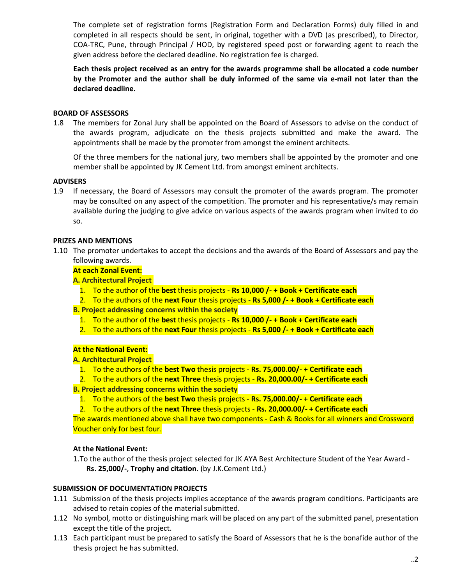The complete set of registration forms (Registration Form and Declaration Forms) duly filled in and completed in all respects should be sent, in original, together with a DVD (as prescribed), to Director, COA-TRC, Pune, through Principal / HOD, by registered speed post or forwarding agent to reach the given address before the declared deadline. No registration fee is charged.

Each thesis project received as an entry for the awards programme shall be allocated a code number by the Promoter and the author shall be duly informed of the same via e-mail not later than the declared deadline.

#### BOARD OF ASSESSORS

1.8 The members for Zonal Jury shall be appointed on the Board of Assessors to advise on the conduct of the awards program, adjudicate on the thesis projects submitted and make the award. The appointments shall be made by the promoter from amongst the eminent architects.

Of the three members for the national jury, two members shall be appointed by the promoter and one member shall be appointed by JK Cement Ltd. from amongst eminent architects.

### **ADVISERS**

1.9 If necessary, the Board of Assessors may consult the promoter of the awards program. The promoter may be consulted on any aspect of the competition. The promoter and his representative/s may remain available during the judging to give advice on various aspects of the awards program when invited to do so.

#### PRIZES AND MENTIONS

1.10 The promoter undertakes to accept the decisions and the awards of the Board of Assessors and pay the following awards.

#### At each Zonal Event:

A. Architectural Project

- 1. To the author of the best thesis projects Rs 10,000 /- + Book + Certificate each
- 2. To the authors of the next Four thesis projects Rs 5,000  $/$  + Book + Certificate each

B. Project addressing concerns within the society

- 1. To the author of the best thesis projects Rs 10,000 /- + Book + Certificate each
- 2. To the authors of the next Four thesis projects Rs 5,000  $/$  + Book + Certificate each

#### At the National Event:

#### A. Architectural Project

- 1. To the authors of the best Two thesis projects Rs. 75,000.00/- + Certificate each
- 2. To the authors of the next Three thesis projects Rs. 20,000.00/- + Certificate each

B. Project addressing concerns within the society

1. To the authors of the best Two thesis projects - Rs. 75,000.00/- + Certificate each

2. To the authors of the next Three thesis projects - Rs. 20,000.00/- + Certificate each

The awards mentioned above shall have two components - Cash & Books for all winners and Crossword Voucher only for best four.

#### At the National Event:

1.To the author of the thesis project selected for JK AYA Best Architecture Student of the Year Award - Rs. 25,000/-, Trophy and citation. (by J.K.Cement Ltd.)

#### SUBMISSION OF DOCUMENTATION PROJECTS

- 1.11 Submission of the thesis projects implies acceptance of the awards program conditions. Participants are advised to retain copies of the material submitted.
- 1.12 No symbol, motto or distinguishing mark will be placed on any part of the submitted panel, presentation except the title of the project.
- 1.13 Each participant must be prepared to satisfy the Board of Assessors that he is the bonafide author of the thesis project he has submitted.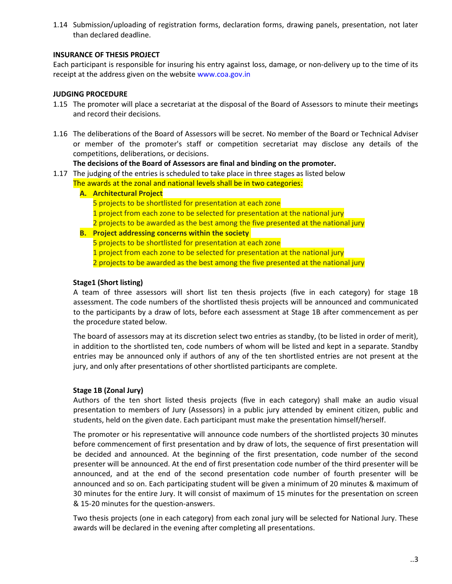1.14 Submission/uploading of registration forms, declaration forms, drawing panels, presentation, not later than declared deadline.

### INSURANCE OF THESIS PROJECT

Each participant is responsible for insuring his entry against loss, damage, or non-delivery up to the time of its receipt at the address given on the website www.coa.gov.in

### JUDGING PROCEDURE

- 1.15 The promoter will place a secretariat at the disposal of the Board of Assessors to minute their meetings and record their decisions.
- 1.16 The deliberations of the Board of Assessors will be secret. No member of the Board or Technical Adviser or member of the promoter's staff or competition secretariat may disclose any details of the competitions, deliberations, or decisions.

#### The decisions of the Board of Assessors are final and binding on the promoter.

- 1.17 The judging of the entries is scheduled to take place in three stages as listed below
	- The awards at the zonal and national levels shall be in two categories:
		- A. Architectural Project
			- 5 projects to be shortlisted for presentation at each zone
				- 1 project from each zone to be selected for presentation at the national jury
			- 2 projects to be awarded as the best among the five presented at the national jury
		- B. Project addressing concerns within the society 5 projects to be shortlisted for presentation at each zone 1 project from each zone to be selected for presentation at the national jury 2 projects to be awarded as the best among the five presented at the national jury

#### Stage1 (Short listing)

A team of three assessors will short list ten thesis projects (five in each category) for stage 1B assessment. The code numbers of the shortlisted thesis projects will be announced and communicated to the participants by a draw of lots, before each assessment at Stage 1B after commencement as per the procedure stated below.

The board of assessors may at its discretion select two entries as standby, (to be listed in order of merit), in addition to the shortlisted ten, code numbers of whom will be listed and kept in a separate. Standby entries may be announced only if authors of any of the ten shortlisted entries are not present at the jury, and only after presentations of other shortlisted participants are complete.

#### Stage 1B (Zonal Jury)

Authors of the ten short listed thesis projects (five in each category) shall make an audio visual presentation to members of Jury (Assessors) in a public jury attended by eminent citizen, public and students, held on the given date. Each participant must make the presentation himself/herself.

The promoter or his representative will announce code numbers of the shortlisted projects 30 minutes before commencement of first presentation and by draw of lots, the sequence of first presentation will be decided and announced. At the beginning of the first presentation, code number of the second presenter will be announced. At the end of first presentation code number of the third presenter will be announced, and at the end of the second presentation code number of fourth presenter will be announced and so on. Each participating student will be given a minimum of 20 minutes & maximum of 30 minutes for the entire Jury. It will consist of maximum of 15 minutes for the presentation on screen & 15-20 minutes for the question-answers.

Two thesis projects (one in each category) from each zonal jury will be selected for National Jury. These awards will be declared in the evening after completing all presentations.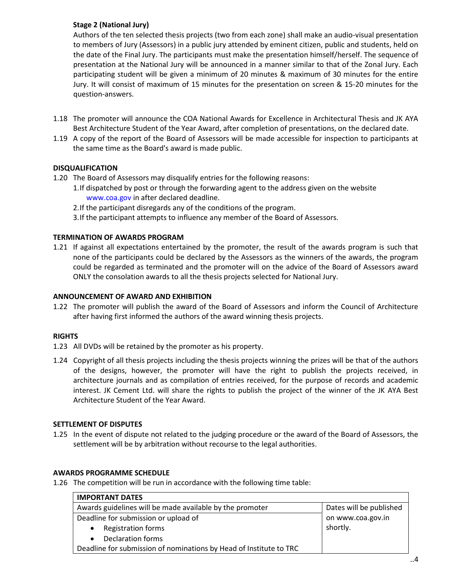## Stage 2 (National Jury)

Authors of the ten selected thesis projects (two from each zone) shall make an audio-visual presentation to members of Jury (Assessors) in a public jury attended by eminent citizen, public and students, held on the date of the Final Jury. The participants must make the presentation himself/herself. The sequence of presentation at the National Jury will be announced in a manner similar to that of the Zonal Jury. Each participating student will be given a minimum of 20 minutes & maximum of 30 minutes for the entire Jury. It will consist of maximum of 15 minutes for the presentation on screen & 15-20 minutes for the question-answers.

- 1.18 The promoter will announce the COA National Awards for Excellence in Architectural Thesis and JK AYA Best Architecture Student of the Year Award, after completion of presentations, on the declared date.
- 1.19 A copy of the report of the Board of Assessors will be made accessible for inspection to participants at the same time as the Board's award is made public.

## DISQUALIFICATION

- 1.20 The Board of Assessors may disqualify entries for the following reasons:
	- 1.If dispatched by post or through the forwarding agent to the address given on the website www.coa.gov in after declared deadline.
	- 2.If the participant disregards any of the conditions of the program.
	- 3.If the participant attempts to influence any member of the Board of Assessors.

### TERMINATION OF AWARDS PROGRAM

1.21 If against all expectations entertained by the promoter, the result of the awards program is such that none of the participants could be declared by the Assessors as the winners of the awards, the program could be regarded as terminated and the promoter will on the advice of the Board of Assessors award ONLY the consolation awards to all the thesis projects selected for National Jury.

#### ANNOUNCEMENT OF AWARD AND EXHIBITION

1.22 The promoter will publish the award of the Board of Assessors and inform the Council of Architecture after having first informed the authors of the award winning thesis projects.

#### RIGHTS

- 1.23 All DVDs will be retained by the promoter as his property.
- 1.24 Copyright of all thesis projects including the thesis projects winning the prizes will be that of the authors of the designs, however, the promoter will have the right to publish the projects received, in architecture journals and as compilation of entries received, for the purpose of records and academic interest. JK Cement Ltd. will share the rights to publish the project of the winner of the JK AYA Best Architecture Student of the Year Award.

#### SETTLEMENT OF DISPUTES

1.25 In the event of dispute not related to the judging procedure or the award of the Board of Assessors, the settlement will be by arbitration without recourse to the legal authorities.

#### AWARDS PROGRAMME SCHEDULE

1.26 The competition will be run in accordance with the following time table:

| <b>IMPORTANT DATES</b>                                             |                         |  |
|--------------------------------------------------------------------|-------------------------|--|
| Awards guidelines will be made available by the promoter           | Dates will be published |  |
| Deadline for submission or upload of                               | on www.coa.gov.in       |  |
| <b>Registration forms</b><br>$\bullet$                             | shortly.                |  |
| Declaration forms<br>$\bullet$                                     |                         |  |
| Deadline for submission of nominations by Head of Institute to TRC |                         |  |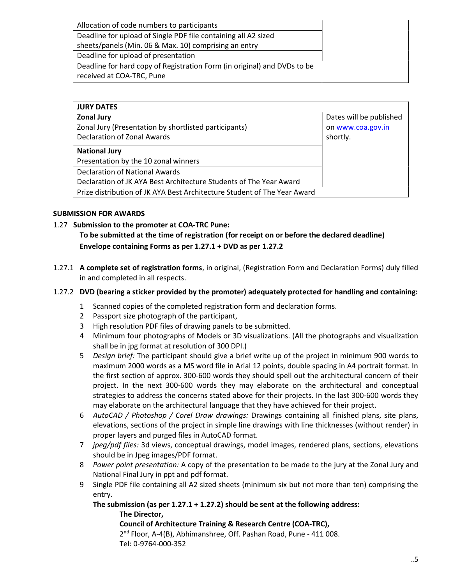| Allocation of code numbers to participants                               |  |
|--------------------------------------------------------------------------|--|
| Deadline for upload of Single PDF file containing all A2 sized           |  |
| sheets/panels (Min. 06 & Max. 10) comprising an entry                    |  |
| Deadline for upload of presentation                                      |  |
| Deadline for hard copy of Registration Form (in original) and DVDs to be |  |
| received at COA-TRC, Pune                                                |  |

| <b>JURY DATES</b>                                                        |                         |
|--------------------------------------------------------------------------|-------------------------|
| <b>Zonal Jury</b>                                                        | Dates will be published |
| Zonal Jury (Presentation by shortlisted participants)                    | on www.coa.gov.in       |
| Declaration of Zonal Awards                                              | shortly.                |
| <b>National Jury</b>                                                     |                         |
| Presentation by the 10 zonal winners                                     |                         |
| <b>Declaration of National Awards</b>                                    |                         |
| Declaration of JK AYA Best Architecture Students of The Year Award       |                         |
| Prize distribution of JK AYA Best Architecture Student of The Year Award |                         |

#### SUBMISSION FOR AWARDS

1.27 Submission to the promoter at COA-TRC Pune:

To be submitted at the time of registration (for receipt on or before the declared deadline) Envelope containing Forms as per 1.27.1 + DVD as per 1.27.2

1.27.1 A complete set of registration forms, in original, (Registration Form and Declaration Forms) duly filled in and completed in all respects.

#### 1.27.2 DVD (bearing a sticker provided by the promoter) adequately protected for handling and containing:

- 1 Scanned copies of the completed registration form and declaration forms.
- 2 Passport size photograph of the participant,
- 3 High resolution PDF files of drawing panels to be submitted.
- 4 Minimum four photographs of Models or 3D visualizations. (All the photographs and visualization shall be in jpg format at resolution of 300 DPI.)
- 5 Design brief: The participant should give a brief write up of the project in minimum 900 words to maximum 2000 words as a MS word file in Arial 12 points, double spacing in A4 portrait format. In the first section of approx. 300-600 words they should spell out the architectural concern of their project. In the next 300-600 words they may elaborate on the architectural and conceptual strategies to address the concerns stated above for their projects. In the last 300-600 words they may elaborate on the architectural language that they have achieved for their project.
- 6 AutoCAD / Photoshop / Corel Draw drawings: Drawings containing all finished plans, site plans, elevations, sections of the project in simple line drawings with line thicknesses (without render) in proper layers and purged files in AutoCAD format.
- 7 jpeg/pdf files: 3d views, conceptual drawings, model images, rendered plans, sections, elevations should be in Jpeg images/PDF format.
- 8 Power point presentation: A copy of the presentation to be made to the jury at the Zonal Jury and National Final Jury in ppt and pdf format.
- 9 Single PDF file containing all A2 sized sheets (minimum six but not more than ten) comprising the entry.

The submission (as per 1.27.1 + 1.27.2) should be sent at the following address: The Director,

Council of Architecture Training & Research Centre (COA-TRC), 2<sup>nd</sup> Floor, A-4(B), Abhimanshree, Off. Pashan Road, Pune - 411 008. Tel: 0-9764-000-352